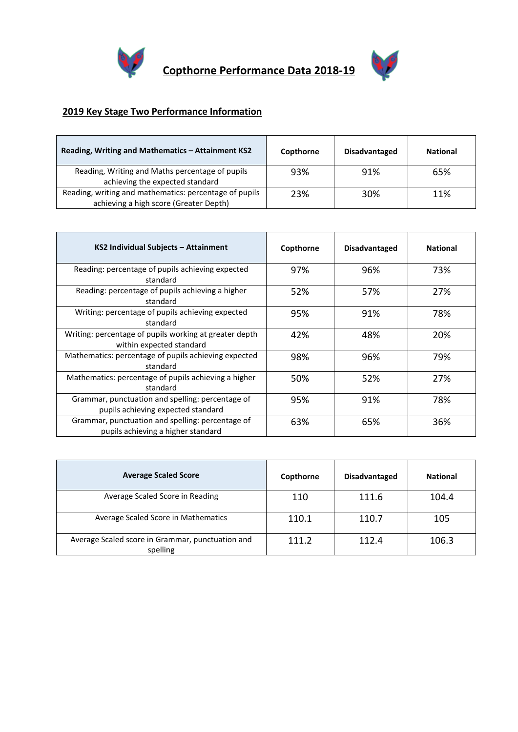



## **2019 Key Stage Two Performance Information**

| Reading, Writing and Mathematics - Attainment KS2                                                | Copthorne | <b>Disadvantaged</b> | <b>National</b> |
|--------------------------------------------------------------------------------------------------|-----------|----------------------|-----------------|
| Reading, Writing and Maths percentage of pupils<br>achieving the expected standard               | 93%       | 91%                  | 65%             |
| Reading, writing and mathematics: percentage of pupils<br>achieving a high score (Greater Depth) | 23%       | 30%                  | 11%             |

| KS2 Individual Subjects - Attainment                                                   | Copthorne | <b>Disadvantaged</b> | <b>National</b> |
|----------------------------------------------------------------------------------------|-----------|----------------------|-----------------|
| Reading: percentage of pupils achieving expected<br>standard                           | 97%       | 96%                  | 73%             |
| Reading: percentage of pupils achieving a higher<br>standard                           | 52%       | 57%                  | 27%             |
| Writing: percentage of pupils achieving expected<br>standard                           | 95%       | 91%                  | 78%             |
| Writing: percentage of pupils working at greater depth<br>within expected standard     | 42%       | 48%                  | 20%             |
| Mathematics: percentage of pupils achieving expected<br>standard                       | 98%       | 96%                  | 79%             |
| Mathematics: percentage of pupils achieving a higher<br>standard                       | 50%       | 52%                  | 27%             |
| Grammar, punctuation and spelling: percentage of<br>pupils achieving expected standard | 95%       | 91%                  | 78%             |
| Grammar, punctuation and spelling: percentage of<br>pupils achieving a higher standard | 63%       | 65%                  | 36%             |

| <b>Average Scaled Score</b>                                  | Copthorne | <b>Disadvantaged</b> | <b>National</b> |
|--------------------------------------------------------------|-----------|----------------------|-----------------|
| Average Scaled Score in Reading                              | 110       | 111.6                | 104.4           |
| Average Scaled Score in Mathematics                          | 110.1     | 110.7                | 105             |
| Average Scaled score in Grammar, punctuation and<br>spelling | 111.2     | 112.4                | 106.3           |